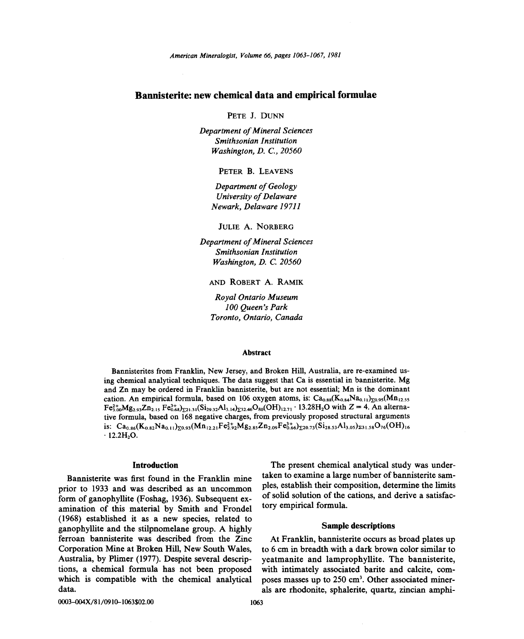# Bannisterite: new chemical data and empirical formulae

PETE J. DUNN

*Department of Mineral Sciences Smithsonian Institution Washington, D.* c., *20560*

PETER B. LEAVENS

*Department of Geology University of Delaware Newark, Delaware 19711*

JULIE A. NORBERG

*Department of Mineral Sciences Smithsonian Institution Washington, D.* C. *20560*

AND ROBERT A. RAMIK

*Royal Ontario Museum 100 Queen's Park Toronto, Ontario, Canada*

# Abstract

Bannisterites from Franklin, New Jersey, and Broken Hill, Australia, are re-examined using chemical analytical techniques. The data suggest that Ca is essential in bannisterite. Mg and Zn may be ordered in Franklin bannisterite, but are not essential; Mn is the dominant cation. An empirical formula, based on 106 oxygen atoms, is:  $Ca_{0.88}(K_{0.84}Na_{0.11})_{\Sigma 0.95}(Mn_{12.55})$  $Fe^{2+}_{3,00}Mg_{2.93}Zn_{2.15}Fe^{3+}_{0.68}F_{21.31}(Si_{29.32}Al_{3.14}F_{23.46}O_{80}(OH)_{12.71}$  . 13.28H<sub>2</sub>O with Z = 4. An alternative formula, based on 168 negative charges, from previously proposed structural arguments is:  $Ca_{0.86}(K_{0.82}Na_{0.11})_{50.93}(Mn_{12.21}Fe_{2.92}^2Mg_{2.85}Zn_{2.09}Fe_{0.66}^3)_{520.73}(Si_{28.53}Al_{3.05})_{231.58}O_{76}(OH)_{16}$  $\cdot$  12.2H<sub>2</sub>O.

# Introduction

Bannisterite was first found in the Franklin mine prior to 1933 and was described as an uncommon form of ganophyllite (Foshag, 1936). Subsequent examination of this material by Smith and Frondel (1968) established it as a new species, related to ganophyllite and the stilpnomelane group. A highly ferroan bannisterite was described from the Zinc Corporation Mine at Broken Hill, New South Wales, Australia, by Plimer (1977). Despite several descriptions, a chemical formula has not been proposed which is compatible with the chemical analytical data.

The present chemical analytical study was undertaken to examine a large number of bannisterite samples, establish their composition, determine the limits of solid solution of the cations, and derive a satisfactory empirical formula.

#### Sample descriptions

At Franklin, bannisterite occurs as broad plates up to 6 cm in breadth with a dark brown color similar to yeatmanite and lamprophyllite. The bannisterite, with intimately associated barite and calcite, composes masses up to 250 cm3. Other associated minerals are rhodonite, sphalerite, quartz, zincian amphi-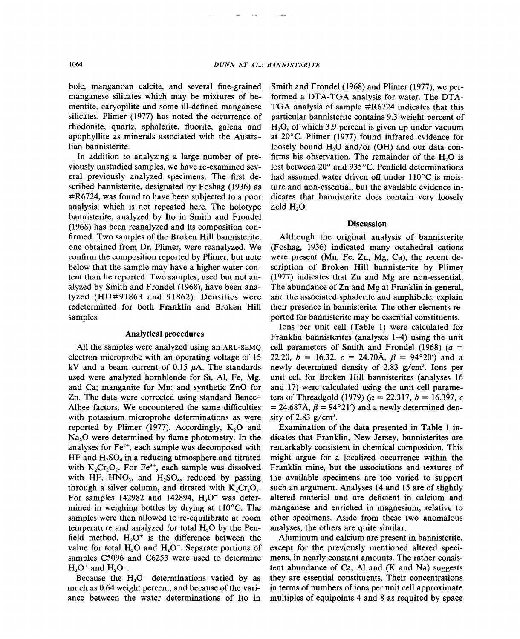bole, manganoan calcite, and several fine-grained manganese silicates which may be mixtures of bementite, caryopilite and some ill-defined manganese silicates. Plimer (1977) has noted the occurrence of rhodonite, quartz, sphalerite, fluorite, galena and apophyllite as minerals associated with the Australian bannisterite.

In addition to analyzing a large number of previously unstudied samples, we have re-examined several previously analyzed specimens. The first described bannisterite, designated by Foshag (1936) as #R6724, was found to have been subjected to a poor analysis, which is not repeated here. The holotype bannisterite, analyzed by Ito in Smith and Frondel (1968) has been reanalyzed and its composition confirmed. Two samples of the Broken Hill bannisterite, one obtained from Dr. Plimer, were reanalyzed. We confirm the composition reported by Plimer, but note below that the sample may have a higher water content than he reported. Two samples, used but not analyzed by Smith and Frondel (1968), have been analyzed (HU#91863 and 91862). Densities were redetermined for both Franklin and Broken Hill samples.

# Analytical procedures

All the samples were analyzed using an ARL-SEMQ electron microprobe with an operating voltage of 15 kV and a beam current of 0.15  $\mu$ A. The standards used were analyzed hornblende for Si, AI, Fe, Mg, and Ca; manganite for Mn; and synthetic ZnO for Zn. The data were corrected using standard Bence-Albee factors. We encountered the same difficulties with potassium microprobe determinations as were reported by Plimer  $(1977)$ . Accordingly, K<sub>2</sub>O and Na<sub>2</sub>O were determined by flame photometry. In the analyses for  $Fe<sup>2+</sup>$ , each sample was decomposed with  $HF$  and  $H_2SO_4$  in a reducing atmosphere and titrated with  $K_2Cr_2O_7$ . For Fe<sup>3+</sup>, each sample was dissolved with HF,  $HNO<sub>3</sub>$ , and  $H<sub>2</sub>SO<sub>4</sub>$ , reduced by passing through a silver column, and titrated with  $K_2Cr_2O_7$ . For samples 142982 and 142894,  $H<sub>2</sub>O<sup>-</sup>$  was determined in weighing bottles by drying at 110°C. The samples were then allowed to re-equilibrate at room temperature and analyzed for total  $H<sub>2</sub>O$  by the Penfield method.  $H_2O^+$  is the difference between the value for total  $H_2O$  and  $H_2O^-$ . Separate portions of samples C5096 and C6253 were used to determine  $H<sub>2</sub>O<sup>+</sup>$  and  $H<sub>2</sub>O<sup>-</sup>$ .

Because the  $H<sub>2</sub>O<sup>-</sup>$  determinations varied by as much as 0.64 weight percent, and because of the variance between the water determinations of Ito in

Smith and Frondel (1968) and Plimer (1977), we performed a DTA-TGA analysis for water. The DTA-TGA analysis of sample #R6724 indicates that this particular bannisterite contains 9.3 weight percent of  $H<sub>2</sub>O$ , of which 3.9 percent is given up under vacuum at  $20^{\circ}$ C. Plimer (1977) found infrared evidence for loosely bound H<sub>2</sub>O and/or (OH) and our data confirms his observation. The remainder of the  $H<sub>2</sub>O$  is lost between 20° and 935°C. Penfield determinations had assumed water driven off under 110°C is moisture and non-essential, but the available evidence indicates that bannisterite does contain very loosely held H<sub>2</sub>O.

# **Discussion**

Although the original analysis of bannisterite (Foshag, 1936) indicated many octahedral cations were present (Mn, Fe, Zn, Mg, Ca), the recent description of Broken Hill bannisterite by Plimer (1977) indicates that Zn and Mg are non-essential. The abundance of Zn and Mg at Franklin in general, and the associated sphalerite and amphibole, explain their presence in bannisterite. The other elements reported for bannisterite may be essential constituents.

Ions per unit cell (Table 1) were calculated for Franklin bannisterites (analyses 1-4) using the unit cell parameters of Smith and Frondel (1968) *(a =* 22.20,  $b = 16.32$ ,  $c = 24.70$ Å,  $\beta = 94^{\circ}20'$  and a newly determined density of 2.83 g/cm<sup>3</sup>. Ions per unit cell for Broken Hill bannisterites (analyses 16 and 17) were calculated using the unit cell parameters of Threadgold (1979)  $(a = 22.317, b = 16.397, c)$  $= 24.687$ Å,  $\beta = 94^{\circ}21'$  and a newly determined density of  $2.83$  g/cm<sup>3</sup>.

Examination of the data presented in Table 1 indicates that Franklin, New Jersey, bannisterites are remarkably consistent in chemical composition. This might argue for a localized occurrence within the Franklin mine, but the associations and textures of the available specimens are too varied to support such an argument. Analyses 14 and 15 are of slightly altered material and are deficient in calcium and manganese and enriched in magnesium, relative to other specimens. Aside from these two anomalous analyses, the others are quite similar.

Aluminum and calcium are present in bannisterite, except for the previously mentioned altered specimens, in nearly constant amounts. The rather consistent abundance of Ca, Al and  $(K$  and Na) suggests they are essential constituents. Their concentrations in terms of numbers of ions per unit cell approximate multiples of equipoints 4 and 8 as required by space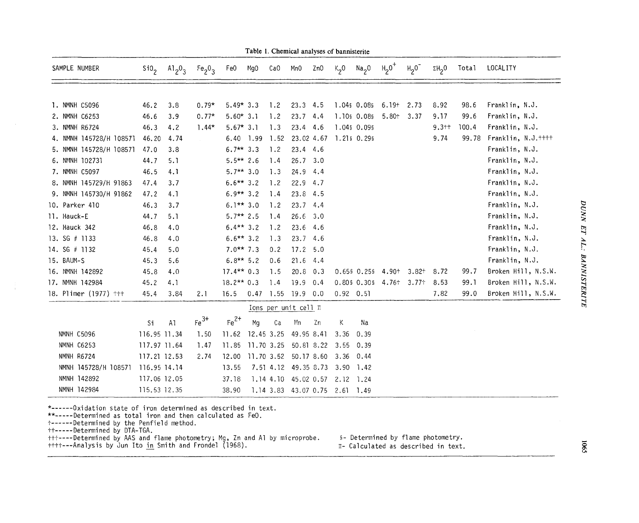| SAMPLE NUMBER           | Si0 <sub>2</sub> | $A1_20_3$ | Fe <sub>2</sub> O <sub>3</sub> | Fe0                                   | MgO        | CaO  | Mn0                            | ZnO        | $K_2$ 0     | $Na_{2}O$ $H_{2}O^{+}$ |                         | $H20$ <sup>-</sup> | $\Sigma H_2$ <sup>0</sup> | Total | LOCAL ITY           |
|-------------------------|------------------|-----------|--------------------------------|---------------------------------------|------------|------|--------------------------------|------------|-------------|------------------------|-------------------------|--------------------|---------------------------|-------|---------------------|
|                         |                  |           |                                |                                       |            |      |                                |            |             |                        |                         |                    |                           |       |                     |
| 1. NMNH C5096           | 46.2             | 3.8       | $0.79*$                        | $5.49*3.3$                            |            | 1.2  | 23.3                           | 4.5        |             | 1.04\$ 0.08\$          | $6.19 +$                | 2.73               | 8.92                      | 98.6  | Franklin, N.J.      |
| 2. NMNH C6253           | 46.6             | 3.9       | $0.77*$                        | $5.60*3.1$                            |            | 1.2  | 23.7                           | 4.4        |             | 1.10\$ 0.08\$          | $5.80 +$                | 3.37               | 9.17                      | 99.6  | Franklin, N.J.      |
| 3. NMNH R6724           | 46.3             | 4.2       | $1.44*$                        | $5.67*3.1$                            |            | 1.3  | 23.4 4.6                       |            |             | 1.04\$ 0.09\$          |                         |                    | $9.3 + +$                 | 100.4 | Franklin, N.J.      |
| 4. NMNH 145728/H 108571 | 46.20            | 4.74      |                                | $6.40$ 1.99                           |            | 1.52 | 23.02 4.67                     |            |             | 1.215 0.295            |                         |                    | 9.74                      | 99.78 | Franklin, N.J.++++  |
| 5. NMNH 145728/H 108571 | 47.0             | 3.8       |                                | $6.7***$ 3.3                          |            | 1.2  | $23.4$ 4.6                     |            |             |                        |                         |                    |                           |       | Franklin, N.J.      |
| 6. NMNH 102731          | 44.7             | 5.1       |                                | $5.5***$ 2.6                          |            | 1.4  | 26.7, 3.0                      |            |             |                        |                         |                    |                           |       | Franklin, N.J.      |
| 7. NMNH C5097           | 46.5             | 4.1       |                                | $5.7**3.0$                            |            | 1.3  | $24.9$ 4.4                     |            |             |                        |                         |                    |                           |       | Franklin, N.J.      |
| 8. NMNH 145729/H 91863  | 47.4             | 3.7       |                                | $6.6***3.2$                           |            | 1.2  | $22.9$ 4.7                     |            |             |                        |                         |                    |                           |       | Franklin, N.J.      |
| 9. NMNH 145730/H 91862  | 47.2             | 4.1       |                                | $6.9**3.2$                            |            | 1.4  | 23.8                           | 4.5        |             |                        |                         |                    |                           |       | Franklin, N.J.      |
| 10. Parker 410          | 46.3             | 3.7       |                                | $6.1**3.0$                            |            | 1.2  | $23.7$ 4.4                     |            |             |                        |                         |                    |                           |       | Franklin, N.J.      |
| 11. Hauck-E             | 44.7             | 5.1       |                                | $5.7**$ 2.5                           |            | 1.4  | 26.6                           | 3.0        |             |                        |                         |                    |                           |       | Franklin, N.J.      |
| 12. Hauck 342           | 46.8             | 4.0       |                                | $6.4***3.2$                           |            | 1.2  | 23.6 4.6                       |            |             |                        |                         |                    |                           |       | Franklin, N.J.      |
| 13. $SG$ # 1133         | 46.8             | 4.0       |                                | $6.6***3.2$                           |            | 1.3  | 23.74.6                        |            |             |                        |                         |                    |                           |       | Franklin, N.J.      |
| 14. SG # 1132           | 45.4             | 5.0       |                                | $7.0***7.3$                           |            | 0.2  | 17.2 5.0                       |            |             |                        |                         |                    |                           |       | Franklin, N.J.      |
| 15. BAUM-S              | 45.3             | 5.6       |                                | $6.8**$ 5.2                           |            | 0.6  | $21.6$ 4.4                     |            |             |                        |                         |                    |                           |       | Franklin, N.J.      |
| 16. NMNH 142892         | 45.8             | 4:0       |                                | $17.4**0.3$                           |            | 1.5  | $20.8$ 0.3                     |            |             | $0.65$ $0.25$ $6.25$   | 4.90+                   | 3.82 <sup>†</sup>  | 8.72                      | 99.7  | Broken Hill, N.S.W. |
| 17. NMNH 142984         | 45.2             | 4.1       |                                | $18.2**0.3$                           |            | 1.4  | $19.9$ 0.4                     |            |             |                        | 0.805 0.305 4.76+ 3.77+ |                    | 8.53                      | 99.1  | Broken Hill, N.S.W. |
| 18. Plimer (1977) †††   | 45.4             | 3.84      | 2.1                            | 16.5                                  |            |      | $0.47$ 1.55 19.9 0.0           |            | $0.92$ 0.51 |                        |                         |                    | 7.82                      | 99.0  | Broken Hill, N.S.W. |
|                         |                  |           |                                |                                       |            |      | Ions per unit cell II          |            |             |                        |                         |                    |                           |       |                     |
|                         | Si               | AI        | $Fe3+$                         | $Fe2+$                                | Mg         | Ca   | Mn                             | Zn         | К           | Na                     |                         |                    |                           |       |                     |
| NMNH C5096              | 116.95 11.34     |           | 1.50                           | 11.62 12.45 3.25                      |            |      | 49.95 8.41                     |            | 3.36        | 0.39                   |                         |                    |                           |       |                     |
| NMNH C6253              | 117.97 11.64     |           | 1.47                           | 11.85                                 | 11.70 3.25 |      |                                | 50.81 8.22 | 3.55        | 0.39                   |                         |                    |                           |       |                     |
| NMNH R6724              | 117.21 12.53     |           | 2.74                           | 12.00 11.70 3.52 50.17 8.60 3.36 0.44 |            |      |                                |            |             |                        |                         |                    |                           |       |                     |
| NMNH 145728/H 108571    | 116.95 14.14     |           |                                | 13.55                                 |            |      | 7.51 4.12 49.35 8.73           |            | 3.90        | 1.42                   |                         |                    |                           |       |                     |
| NMNH 142892             | 117.06 12.05     |           |                                | 37.18                                 |            |      | 1.14 4.10 45.02 0.57           |            | 2.12 1.24   |                        |                         |                    |                           |       |                     |
| NMNH 142984             | 115.53 12.35     |           |                                | 38.90                                 |            |      | 1.14 3.83 43.07 0.75 2.61 1.49 |            |             |                        |                         |                    |                           |       |                     |

Table 1. Chemical analyses of bannisterite

\*------Oxidation state of iron determined as described in tex

\*\*-----Determined as total iron and then calculated as FeO.

t------Determined by the Penfield method

++-----Determined by DIA-IGA.<br>+++----Determined by AAS and flame photometry; Mg, Zn and Al by microprobe. ‱ 5- Determined by flame photometry.<br>++++---Analysis by Jun Ito <u>in</u> Smith and Frondel (1968). ™ T- Calculated as d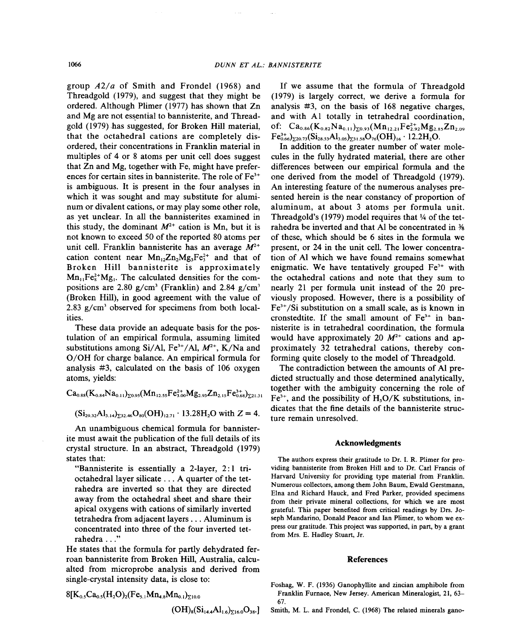group *A21 a* of Smith and Frondel (1968) and Threadgold (1979), and suggest that they might be ordered. Although Plimer (1977) has shown that Zn and Mg are not essential to bannisterite, and Threadgold (1979) has suggested, for Broken Hill material, that the octahedral cations are completely disordered, their concentrations in Franklin material in multiples of 4 or 8 atoms per unit cell does suggest that Zn and Mg, together with Fe, might have preferences for certain sites in bannisterite. The role of Fe<sup>3+</sup> is ambiguous. It is present in the four analyses in which it was sought and may substitute for aluminum or divalent cations, or may play some other role, as yet unclear. In all the bannisterites examined in this study, the dominant  $M^{2+}$  cation is Mn, but it is not known to exceed 50 of the reported 80 atoms per unit cell. Franklin bannisterite has an average  $M^{2+}$ cation content near  $Mn_{12}Zn_2Mg_3Fe^{2+}$  and that of Broken Hill bannisterite is approximately  $Mn_{11}Fe<sub>8</sub><sup>2+</sup>Mg<sub>1</sub>$ . The calculated densities for the compositions are 2.80 *g/cm3* (Franklin) and 2.84 *g/cm3* (Broken Hill), in good agreement with the value of *2.83 g/cm3* observed for specimens from both localities.

These data provide an adequate basis for the postulation of an empirical formula, assuming limited substitutions among Si/Al,  $Fe^{3+}/Al$ ,  $M^{2+}$ , K/Na and *OIOH* for charge balance. An empirical formula for analysis #3, calculated on the basis of 106 oxygen atoms, yields:

 $Ca_{0.88}(K_{0.84}Na_{0.11})_{50.95}(Mn_{12.55}Fe_{3.00}^{2+}Mg_{2.93}Zn_{2.15}Fe_{0.68}^{3+})_{521.31}$ 

 $(Si_{29.32}Al_{3.14})_{532.46}O_{80}(OH)_{12.71}$  . 13.28H<sub>2</sub>O with  $Z = 4$ .

An unambiguous chemical formula for bannisterite must await the publication of the full details of its crystal structure. In an abstract, Threadgold (1979) states that:

"Bannisterite is essentially a 2-layer, 2: I trioctahedral layer silicate. . . A quarter of the tetrahedra are inverted so that they are directed away from the octahedral sheet and share their apical oxygens with cations of similarly inverted tetrahedra from adjacent layers. . . Aluminum is concentrated into three of the four inverted tetrahedra . . ."

He states that the formula for partly dehydrated ferroan bannisterite from Broken Hill, Australia, calcualted from microprobe analysis and derived from single-crystal intensity data, is close to:

$$
\begin{aligned}[t] &8[K_{0.5}Ca_{0.5}(H_2O)_2(Fe_{5.1}Mn_{4.8}Mn_{0.1})_{\Sigma^{10.0}}\\ & (OH)_8(Si_{14.4}Al_{1.6})_{\Sigma^{16.0}}O_{38}.] \end{aligned}
$$

If we assume that the formula of Threadgold (1979) is largely correct, we derive a formula for analysis #3, on the basis of 168 negative charges, and with Al totally in tetrahedral coordination, of:  $Ca_{0.86}(K_{0.82}Na_{0.11})_{\Sigma 0.93}(Mn_{12.21}Fe_{2.92}^{2+}Mg_{2.85}Zn_{2.09}$  $Fe^{3+}_{0.66}$ <sub>220.73</sub>(Si<sub>28.53</sub>Al<sub>3.05</sub>)<sub>231.58</sub>O<sub>76</sub>(OH)<sub>16</sub>. 12.2H<sub>2</sub>O.

In addition to the greater number of water molecules in the fully hydrated material, there are other differences between our empirical formula and the one derived from the model of Threadgold (1979). An interesting feature of the numerous analyses presented herein is the near constancy of proportion of aluminum, at about 3 atoms per formula unit. Threadgold's  $(1979)$  model requires that  $\frac{1}{4}$  of the tetrahedra be inverted and that Al be concentrated in % of these, which should be 6 sites in the formula we present, or 24 in the unit cell. The lower concentration of Al which we have found remains somewhat enigmatic. We have tentatively grouped  $Fe<sup>3+</sup>$  with the octahedral cations and note that they sum to nearly 21 per formula unit instead of the 20 previously proposed. However, there is a possibility of Fe3+*ISi* substitution on a small scale, as is known in cronstedtite. If the small amount of  $Fe<sup>3+</sup>$  in bannisterite is in tetrahedral coordination, the formula would have approximately 20  $M^{2+}$  cations and approximately 32 tetrahedral cations, thereby conforming quite closely to the model of Threadgold.

The contradiction between the amounts of Al predicted structually and those determined analytically, together with the ambiguity concerning the role of Fe3+, and the possibility of *H30/K* substitutions, indicates that the fine details of the bannisterite structure remain unresolved.

# Acknowledgments

The authors express their gratitude to Dr. I. R. Plimer for providing bannisterite from Broken Hill and to Dr. Carl Francis of Harvard University for providing type material from Franklin. Numerous collectors, among them John Baum, Ewald Gerstmann, Elna and Richard Hauck, and Fred Parker, provided specimens from their private mineral collections, for which we are most grateful. This paper benefited from critical readings by Drs. Joseph Mandarino, Donald Peacor and Ian Plimer, to whom we express our gratitude. This project was supported, in part, by a grant from Mrs. E. Hadley Stuart, Jr.

#### References

- Foshag, W. F. (1936) Ganophyllite and zincian amphibole from Franklin Furnace, New Jersey. American Mineralogist, 21, 63- 67.
- Smith, M. L. and Frondel, C. (1968) The related minerals gano-